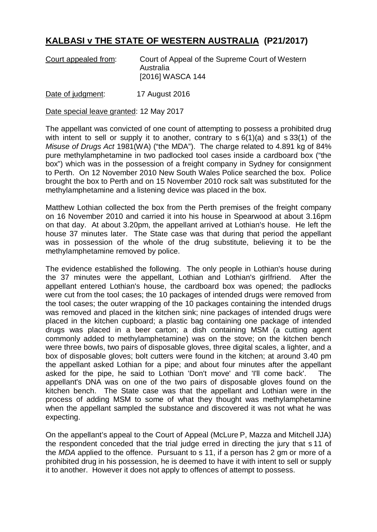## **KALBASI v THE STATE OF WESTERN AUSTRALIA (P21/2017)**

| Court appealed from: | Court of Appeal of the Supreme Court of Western |
|----------------------|-------------------------------------------------|
|                      | Australia                                       |
|                      | [2016] WASCA 144                                |

Date of judgment: 17 August 2016

Date special leave granted: 12 May 2017

The appellant was convicted of one count of attempting to possess a prohibited drug with intent to sell or supply it to another, contrary to s  $6(1)(a)$  and s 33(1) of the *Misuse of Drugs Act* 1981(WA) ("the MDA"). The charge related to 4.891 kg of 84% pure methylamphetamine in two padlocked tool cases inside a cardboard box ("the box") which was in the possession of a freight company in Sydney for consignment to Perth. On 12 November 2010 New South Wales Police searched the box. Police brought the box to Perth and on 15 November 2010 rock salt was substituted for the methylamphetamine and a listening device was placed in the box.

Matthew Lothian collected the box from the Perth premises of the freight company on 16 November 2010 and carried it into his house in Spearwood at about 3.16pm on that day. At about 3.20pm, the appellant arrived at Lothian's house. He left the house 37 minutes later. The State case was that during that period the appellant was in possession of the whole of the drug substitute, believing it to be the methylamphetamine removed by police.

The evidence established the following. The only people in Lothian's house during the 37 minutes were the appellant, Lothian and Lothian's girlfriend. After the appellant entered Lothian's house, the cardboard box was opened; the padlocks were cut from the tool cases; the 10 packages of intended drugs were removed from the tool cases; the outer wrapping of the 10 packages containing the intended drugs was removed and placed in the kitchen sink; nine packages of intended drugs were placed in the kitchen cupboard; a plastic bag containing one package of intended drugs was placed in a beer carton; a dish containing MSM (a cutting agent commonly added to methylamphetamine) was on the stove; on the kitchen bench were three bowls, two pairs of disposable gloves, three digital scales, a lighter, and a box of disposable gloves; bolt cutters were found in the kitchen; at around 3.40 pm the appellant asked Lothian for a pipe; and about four minutes after the appellant asked for the pipe, he said to Lothian 'Don't move' and 'I'll come back'. The appellant's DNA was on one of the two pairs of disposable gloves found on the kitchen bench. The State case was that the appellant and Lothian were in the process of adding MSM to some of what they thought was methylamphetamine when the appellant sampled the substance and discovered it was not what he was expecting.

On the appellant's appeal to the Court of Appeal (McLure P, Mazza and Mitchell JJA) the respondent conceded that the trial judge erred in directing the jury that s 11 of the *MDA* applied to the offence. Pursuant to s 11, if a person has 2 gm or more of a prohibited drug in his possession, he is deemed to have it with intent to sell or supply it to another. However it does not apply to offences of attempt to possess.